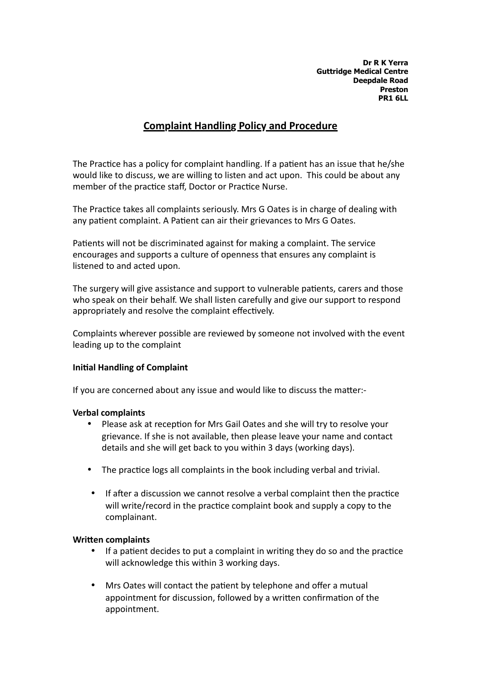**Dr R K Yerra Guttridge Medical Centre Deepdale Road Preston PR1 6LL**

# **Complaint Handling Policy and Procedure**

The Practice has a policy for complaint handling. If a patient has an issue that he/she would like to discuss, we are willing to listen and act upon. This could be about any member of the practice staff, Doctor or Practice Nurse.

The Practice takes all complaints seriously. Mrs G Oates is in charge of dealing with any patient complaint. A Patient can air their grievances to Mrs G Oates.

Patients will not be discriminated against for making a complaint. The service encourages and supports a culture of openness that ensures any complaint is listened to and acted upon.

The surgery will give assistance and support to vulnerable patients, carers and those who speak on their behalf. We shall listen carefully and give our support to respond appropriately and resolve the complaint effectively.

Complaints wherever possible are reviewed by someone not involved with the event leading up to the complaint

# **Initial Handling of Complaint**

If you are concerned about any issue and would like to discuss the matter:-

### **Verbal complaints**

- Please ask at reception for Mrs Gail Oates and she will try to resolve your grievance. If she is not available, then please leave your name and contact details and she will get back to you within 3 days (working days).
- The practice logs all complaints in the book including verbal and trivial.
- If after a discussion we cannot resolve a verbal complaint then the practice will write/record in the practice complaint book and supply a copy to the complainant.

#### **Written complaints**

- If a patient decides to put a complaint in writing they do so and the practice will acknowledge this within 3 working days.
- Mrs Oates will contact the patient by telephone and offer a mutual appointment for discussion, followed by a written confirmation of the appointment.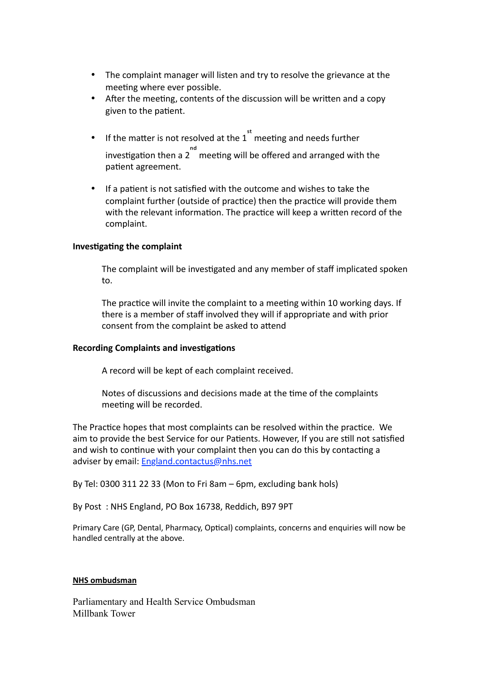- The complaint manager will listen and try to resolve the grievance at the meeting where ever possible.
- After the meeting, contents of the discussion will be written and a copy given to the patient.
- If the matter is not resolved at the 1 meeting and needs further investigation then a 2<sup>nd</sup> meeting will be offered and arranged with the patient agreement.
- If a patient is not satisfied with the outcome and wishes to take the complaint further (outside of practice) then the practice will provide them with the relevant information. The practice will keep a written record of the complaint.

# **Investigating the complaint**

The complaint will be investigated and any member of staff implicated spoken to.

The practice will invite the complaint to a meeting within 10 working days. If there is a member of staff involved they will if appropriate and with prior consent from the complaint be asked to attend

# **Recording Complaints and investigations**

A record will be kept of each complaint received.

Notes of discussions and decisions made at the time of the complaints meeting will be recorded.

The Practice hopes that most complaints can be resolved within the practice. We aim to provide the best Service for our Patients. However, If you are still not satisfied and wish to continue with your complaint then you can do this by contacting a adviser by email: [England.contactus@nhs.net](%22mailto:)

By Tel:  $03003112233$  (Mon to Fri 8am – 6pm, excluding bank hols)

By Post: NHS England, PO Box 16738, Reddich, B97 9PT

Primary Care (GP, Dental, Pharmacy, Optical) complaints, concerns and enquiries will now be handled centrally at the above.

#### **NHS** ombudsman

Parliamentary and Health Service Ombudsman Millbank Tower